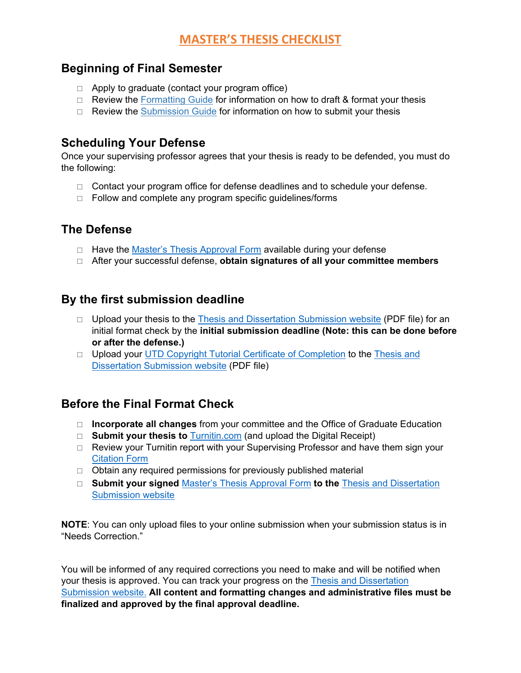### **Beginning of Final Semester**

- $\Box$  Apply to graduate (contact your program office)
- $\Box$  Review the [Formatting Guide](http://www.utdallas.edu/ogs/docs/thesisdissertationguide_formatting.pdf) for information on how to draft & format your thesis
- $\Box$  Review the [Submission Guide](http://www.utdallas.edu/ogs/docs/thesisdissertationguide_submission.pdf) for information on how to submit your thesis

### **Scheduling Your Defense**

Once your supervising professor agrees that your thesis is ready to be defended, you must do the following:

- $\Box$  Contact your program office for defense deadlines and to schedule your defense.
- $\Box$  Follow and complete any program specific guidelines/forms

## **The Defense**

- $\Box$  Have the [Master's Thesis Approval Form](https://graduate.utdallas.edu/docs/Masters%20Thesis%20Approval%20Form.pdf) available during your defense
- After your successful defense, **obtain signatures of all your committee members**

### **By the first submission deadline**

- $\Box$  Upload your thesis to the [Thesis and Dissertation Submission website](https://utd-etd.tdl.org/) (PDF file) for an initial format check by the **initial submission deadline (Note: this can be done before or after the defense.)**
- $\Box$  Upload your [UTD Copyright Tutorial Certificate of Completion](https://graduate.utdallas.edu/docs/thesisdissertationguide_submission.pdf) to the Thesis and [Dissertation Submission website](https://utd-etd.tdl.org/) (PDF file)

## **Before the Final Format Check**

- **Incorporate all changes** from your committee and the Office of Graduate Education
- □ **Submit your thesis to** [Turnitin.com](https://www.utdallas.edu/ogs/docs/thesisdissertationguide_submission.pdf) (and upload the Digital Receipt)
- $\Box$  Review your Turnitin report with your Supervising Professor and have them sign your [Citation Form](https://www.utdallas.edu/ogs/docs/CitationForm.pdf)
- $\Box$  Obtain any required permissions for previously published material
- **Submit your signed** [Master's Thesis Approval Form](https://graduate.utdallas.edu/docs/Masters%20Thesis%20Approval%20Form.pdf) **to the** [Thesis and Dissertation](https://utd-etd.tdl.org/)  [Submission website](https://utd-etd.tdl.org/)

**NOTE**: You can only upload files to your online submission when your submission status is in "Needs Correction."

You will be informed of any required corrections you need to make and will be notified when your thesis is approved. You can track your progress on the [Thesis and Dissertation](https://utd-etd.tdl.org/)  [Submission website.](https://utd-etd.tdl.org/) **All content and formatting changes and administrative files must be finalized and approved by the final approval deadline.**